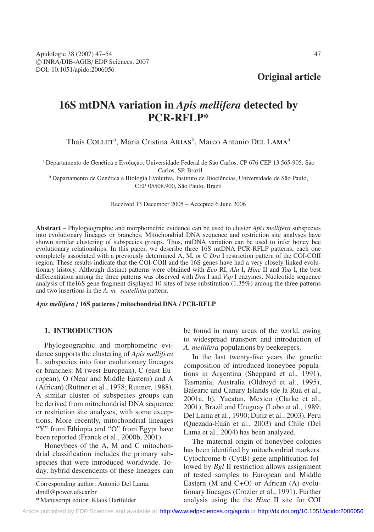**Original article**

# **16S mtDNA variation in** *Apis mellifera* **detected by PCR-RFLP\***

Thaís COLLET<sup>a</sup>, Maria Cristina ARIAS<sup>b</sup>, Marco Antonio DEL LAMA<sup>a</sup>

<sup>a</sup> Departamento de Genética e Evolução, Universidade Federal de São Carlos, CP 676 CEP 13.565-905, São

Carlos, SP, Brazil

<sup>b</sup> Departamento de Genética e Biologia Evolutiva, Instituto de Biociências, Universidade de São Paulo, CEP 05508.900, São Paulo, Brazil

Received 13 December 2005 – Accepted 6 June 2006

**Abstract** – Phylogeographic and morphometric evidence can be used to cluster *Apis mellifera* subspecies into evolutionary lineages or branches. Mitochondrial DNA sequence and restriction site analyses have shown similar clustering of subspecies groups. Thus, mtDNA variation can be used to infer honey bee evolutionary relationships. In this paper, we describe three 16S mtDNA PCR-RFLP patterns, each one completely associated with a previously determined A, M, or C *Dra* I restriction pattern of the COI-COII region. These results indicate that the COI-COII and the 16S genes have had a very closely linked evolutionary history. Although distinct patterns were obtained with *Eco* RI, *Alu* I, *Hinc* II and *Taq* I, the best differentiation among the three patterns was observed with *Dra* I and *Vsp* I enzymes. Nucleotide sequence analysis of the16S gene fragment displayed 10 sites of base substitution (1.35%) among the three patterns and two insertions in the *A. m. scutellata* pattern.

## *Apis mellifera* / **16S patterns** / **mitochondrial DNA** / **PCR-RFLP**

## **1. INTRODUCTION**

Phylogeographic and morphometric evidence supports the clustering of *Apis mellifera* L. subspecies into four evolutionary lineages or branches: M (west European), C (east European), O (Near and Middle Eastern) and A (African) (Ruttner et al., 1978; Ruttner, 1988). A similar cluster of subspecies groups can be derived from mitochondrial DNA sequence or restriction site analyses, with some exceptions. More recently, mitochondrial lineages "Y" from Ethiopia and "O" from Egypt have been reported (Franck et al., 2000b, 2001).

Honeybees of the A, M and C mitochondrial classification includes the primary subspecies that were introduced worldwide. Today, hybrid descendents of these lineages can

Corresponding author: Antonio Del Lama, dmdl@power.ufscar.br

be found in many areas of the world, owing to widespread transport and introduction of *A. mellifera* populations by beekeepers.

In the last twenty-five years the genetic composition of introduced honeybee populations in Argentina (Sheppard et al., 1991), Tasmania, Australia (Oldroyd et al., 1995), Balearic and Canary Islands (de la Rua et al., 2001a, b), Yucatan, Mexico (Clarke et al., 2001), Brazil and Uruguay (Lobo et al., 1989; Del Lama et al., 1990; Diniz et al., 2003), Peru (Quezada-Euán et al., 2003) and Chile (Del Lama et al., 2004) has been analyzed.

The maternal origin of honeybee colonies has been identified by mitochondrial markers. Cytochrome b (CytB) gene amplification followed by *Bgl* II restriction allows assignment of tested samples to European and Middle Eastern (M and C+O) or African (A) evolutionary lineages (Crozier et al., 1991). Further analysis using the the *Hinc* II site for COI

<sup>\*</sup> Manuscript editor: Klaus Hartfelder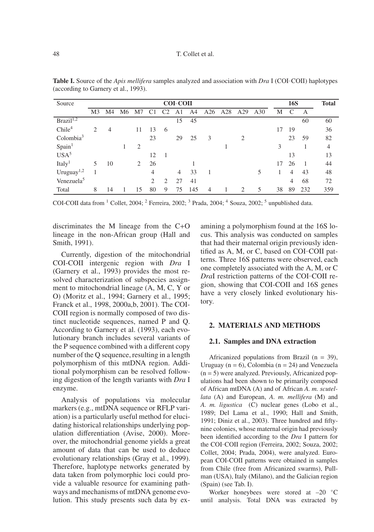| Source                 | <b>COI-COII</b> |    |    |                |                |               |                |     |                |     |                             |     | <b>16S</b> | <b>Total</b>   |     |                |
|------------------------|-----------------|----|----|----------------|----------------|---------------|----------------|-----|----------------|-----|-----------------------------|-----|------------|----------------|-----|----------------|
|                        | M3              | M4 | M6 | M7             |                |               | A1             | A4  | A26            | A28 | A29                         | A30 | М          | C              | A   |                |
| Brazil <sup>1,2</sup>  |                 |    |    |                |                |               | 15             | 45  |                |     |                             |     |            |                | 60  | 60             |
| Chile <sup>4</sup>     | 2               | 4  |    | 11             | 13             | 6             |                |     |                |     |                             |     | 17         | 19             |     | 36             |
| Colombia <sup>3</sup>  |                 |    |    |                | 23             |               | 29             | 25  | 3              |     | 2                           |     |            | 23             | 59  | 82             |
| Spin <sup>1</sup>      |                 |    |    | $\overline{2}$ |                |               |                |     |                |     |                             |     | 3          |                |     | $\overline{4}$ |
| USA <sup>5</sup>       |                 |    |    |                | 12             |               |                |     |                |     |                             |     |            | 13             |     | 13             |
| Italy <sup>1</sup>     | 5               | 10 |    | 2              | 26             |               |                |     |                |     |                             |     | 17         | 26             |     | 44             |
| Uruguay $1,2$          |                 |    |    |                | $\overline{4}$ |               | $\overline{4}$ | 33  | $\overline{1}$ |     |                             | 5   |            | $\overline{4}$ | 43  | 48             |
| Venezuela <sup>5</sup> |                 |    |    |                | 2              | $\mathcal{D}$ | 27             | 41  |                |     |                             |     |            | $\overline{4}$ | 68  | 72             |
| Total                  | 8               | 14 |    | 15             | 80             | 9             | 75             | 145 | $\overline{4}$ |     | $\mathcal{D}_{\mathcal{L}}$ | 5   | 38         | 89             | 232 | 359            |

**Table I.** Source of the *Apis mellifera* samples analyzed and association with *Dra* I (COI-COII) haplotypes (according to Garnery et al., 1993).

COI-COII data from  $1$  Collet, 2004;  $2$  Ferreira, 2002;  $3$  Prada, 2004;  $4$  Souza, 2002;  $5$  unpublished data.

discriminates the M lineage from the C+O lineage in the non-African group (Hall and Smith, 1991).

Currently, digestion of the mitochondrial COI-COII intergenic region with *Dra* I (Garnery et al., 1993) provides the most resolved characterization of subspecies assignment to mitochondrial lineage (A, M, C, Y or O) (Moritz et al., 1994; Garnery et al., 1995; Franck et al., 1998, 2000a,b, 2001). The COI-COII region is normally composed of two distinct nucleotide sequences, named P and Q. According to Garnery et al. (1993), each evolutionary branch includes several variants of the P sequence combined with a different copy number of the Q sequence, resulting in a length polymorphism of this mtDNA region. Additional polymorphism can be resolved following digestion of the length variants with *Dra* I enzyme.

Analysis of populations via molecular markers (e.g., mtDNA sequence or RFLP variation) is a particularly useful method for elucidating historical relationships underlying population differentiation (Avise, 2000). Moreover, the mitochondrial genome yields a great amount of data that can be used to deduce evolutionary relationships (Gray et al., 1999). Therefore, haplotype networks generated by data taken from polymorphic loci could provide a valuable resource for examining pathways and mechanisms of mtDNA genome evolution. This study presents such data by examining a polymorphism found at the 16S locus. This analysis was conducted on samples that had their maternal origin previously identified as A, M, or C, based on COI-COII patterns. Three 16S patterns were observed, each one completely associated with the A, M, or C *DraI* restriction patterns of the COI-COII region, showing that COI-COII and 16S genes have a very closely linked evolutionary history.

#### **2. MATERIALS AND METHODS**

#### **2.1. Samples and DNA extraction**

Africanized populations from Brazil  $(n = 39)$ , Uruguay ( $n = 6$ ), Colombia ( $n = 24$ ) and Venezuela  $(n = 5)$  were analyzed. Previously, Africanized populations had been shown to be primarily composed of African mtDNA (A) and of African *A. m. scutellata* (A) and European, *A. m. mellifera* (M) and *A. m. ligustica* (C) nuclear genes (Lobo et al., 1989; Del Lama et al., 1990; Hall and Smith, 1991; Diniz et al., 2003). Three hundred and fiftynine colonies, whose maternal origin had previously been identified according to the *Dra* I pattern for the COI-COII region (Ferreira, 2002; Souza, 2002; Collet, 2004; Prada, 2004), were analyzed. European COI-COII patterns were obtained in samples from Chile (free from Africanized swarms), Pullman (USA), Italy (Milano), and the Galician region (Spain) (see Tab. I).

Worker honeybees were stored at –20 ◦C until analysis. Total DNA was extracted by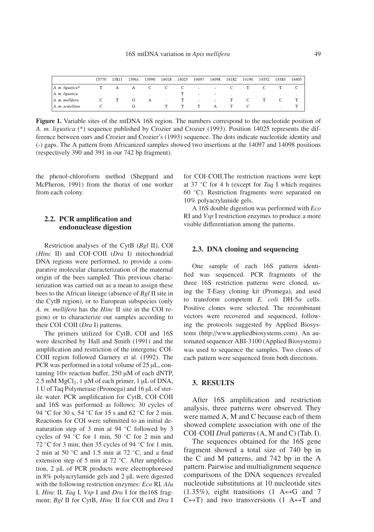|                  | 13770 | 13811 | 13961 | 13990 | 14018 | 14025 | 14097  | 14098  | 14182 | 14190 | 14352 | 14383 | 14405 |
|------------------|-------|-------|-------|-------|-------|-------|--------|--------|-------|-------|-------|-------|-------|
| A. m. ligustica* |       | А     | А     | C.    |       |       | $\sim$ | $\sim$ |       |       |       |       |       |
| A. m. ligustica  |       |       |       |       |       |       | $\sim$ | $\sim$ |       |       |       |       |       |
| A. m. mellifera  |       |       | G     | А     |       |       | $\sim$ | $\sim$ |       |       |       |       |       |
| A. m. scutellata |       |       |       |       |       |       |        |        |       |       |       |       |       |

**Figure 1.** Variable sites of the mtDNA 16S region. The numbers correspond to the nucleotide position of *A. m. ligustica* (\*) sequence published by Crozier and Crozier (1993). Position 14025 represents the difference between ours and Crozier and Crozier's (1993) sequence. The dots indicate nucleotide identity and (-) gaps. The A pattern from Africanized samples showed two insertions at the 14097 and 14098 positions (respectively 390 and 391 in our 742 bp fragment).

the phenol-chloroform method (Sheppard and McPheron, 1991) from the thorax of one worker from each colony.

# **2.2. PCR amplification and endonuclease digestion**

Restriction analyses of the CytB (*Bgl* II), COI (*Hinc* II) and COI-COII (*Dra* I) mitochondrial DNA regions were performed, to provide a comparative molecular characterization of the maternal origin of the bees sampled. This previous characterization was carried out as a mean to assign these bees to the African lineage (absence of *Bgl* II site in the CytB region), or to European subspecies (only *A. m. mellifera* has the *Hinc* II site in the COI region) or to characterize our samples according to their COI-COII (*Dra* I) patterns.

The primers utilized for CytB, COI and 16S were described by Hall and Smith (1991) and the amplification and restriction of the intergenic COI-COII region followed Garnery et al. (1992). The PCR was performed in a total volume of 25 µL, containing  $10\times$  reaction buffer, 250  $\mu$ M of each dNTP,  $2.5 \text{ mM MgCl}_2$ , 1  $\mu$ M of each primer, 1  $\mu$ L of DNA, 1 U of Taq Polymerase (Promega) and 16 µL of sterile water. PCR amplification for CytB, COI-COII and 16S was performed as follows: 30 cycles of 94 °C for 30 s, 54 °C for 15 s and 62 °C for 2 min. Reactions for COI were submitted to an initial denaturation step of 3 min at 94 ℃ followed by 3 cycles of 94 ◦C for 1 min, 50 ◦C for 2 min and 72 ◦C for 3 min; then 35 cycles of 94 ◦C for 1 min, 2 min at 50  $°C$  and 1.5 min at 72  $°C$ , and a final extension step of 5 min at 72 °C. After amplification, 2 µL of PCR products were electrophoresed in 8% polyacrylamide gels and 2 µL were digested with the following restriction enzymes: *Eco* RI*, Alu* I*, Hinc* II*, Taq* I*, Vsp* I and *Dra* I for the16S fragment; *Bgl* II for CytB, *Hinc* II for COI and *Dra* I for COI-COII.The restriction reactions were kept at 37 ◦C for 4 h (except for *Taq* I which requires 60 ◦C). Restriction fragments were separated on 10% polyacrylamide gels.

A 16S double digestion was performed with *Eco* RI and *Vsp* I restriction enzymes to produce a more visible differentiation among the patterns.

# **2.3. DNA cloning and sequencing**

One sample of each 16S pattern identified was sequenced. PCR fragments of the three 16S restriction patterns were cloned, using the T-Easy cloning kit (Promega), and used to transform competent *E. coli* DH-5α cells. Positive clones were selected. The recombinant vectors were recovered and sequenced, following the protocols suggested by Applied Biosystems (http://www.appliedbiosystems.com). An automated sequencer ABI-3100 (Applied Biosystems) was used to sequence the samples. Two clones of each pattern were sequenced from both directions.

## **3. RESULTS**

After 16S amplification and restriction analysis, three patterns were observed. They were named A, M and C because each of them showed complete association with one of the COI-COII *Dra*I patterns (A, M and C) (Tab. I).

The sequences obtained for the 16S gene fragment showed a total size of 740 bp in the C and M patterns, and 742 bp in the A pattern. Pairwise and multialignment sequence comparisons of the DNA sequences revealed nucleotide substitutions at 10 nucleotide sites  $(1.35\%)$ , eight transitions  $(1 \text{ A} \leftrightarrow \text{G} \text{ and } 7)$  $C \leftrightarrow T$ ) and two transversions (1 A $\leftrightarrow T$  and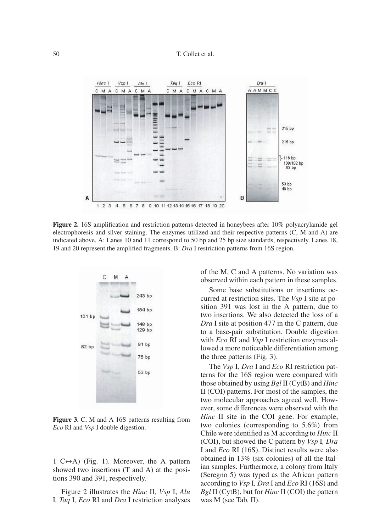

**Figure 2.** 16S amplification and restriction patterns detected in honeybees after 10% polyacrylamide gel electrophoresis and silver staining. The enzymes utilized and their respective patterns (C, M and A) are indicated above. A: Lanes 10 and 11 correspond to 50 bp and 25 bp size standards, respectively. Lanes 18, 19 and 20 represent the amplified fragments. B: *Dra* I restriction patterns from 16S region.



**Figure 3.** C, M and A 16S patterns resulting from *Eco* RI and *Vsp* I double digestion.

1  $C \leftrightarrow A$ ) (Fig. 1). Moreover, the A pattern showed two insertions (T and A) at the positions 390 and 391, respectively.

Figure 2 illustrates the *Hinc* II*, Vsp* I, *Alu* I*, Taq* I*, Eco* RI and *Dra* I restriction analyses of the M, C and A patterns. No variation was observed within each pattern in these samples.

Some base substitutions or insertions occurred at restriction sites. The *Vsp* I site at position 391 was lost in the A pattern, due to two insertions. We also detected the loss of a *Dra* I site at position 477 in the C pattern, due to a base-pair substitution. Double digestion with *Eco* RI and *Vsp* I restriction enzymes allowed a more noticeable differentiation among the three patterns (Fig. 3).

The *Vsp* I*, Dra* I and *Eco* RI restriction patterns for the 16S region were compared with those obtained by using *Bgl* II (CytB) and *Hinc* II (COI) patterns. For most of the samples, the two molecular approaches agreed well. However, some differences were observed with the *Hinc* II site in the COI gene. For example, two colonies (corresponding to 5.6%) from Chile were identified as M according to *Hinc* II (COI), but showed the C pattern by *Vsp* I*, Dra* I and *Eco* RI (16S). Distinct results were also obtained in 13% (six colonies) of all the Italian samples. Furthermore, a colony from Italy (Seregno 5) was typed as the African pattern according to *Vsp* I*, Dra* I and *Eco* RI (16S) and *Bgl* II (CytB), but for *Hinc* II (COI) the pattern was M (see Tab. II).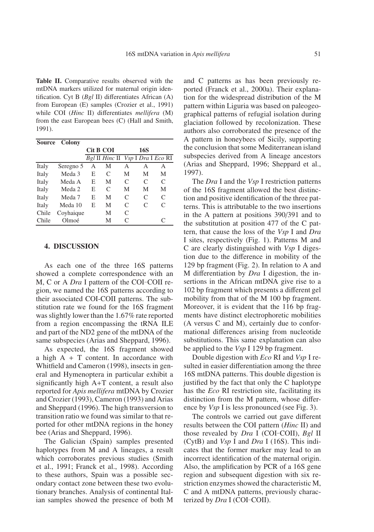**Table II.** Comparative results observed with the mtDNA markers utilized for maternal origin identification. Cyt B (*Bgl* II) differentiates African (A) from European (E) samples (Crozier et al., 1991) while COI (*Hinc* II) differentiates *mellifera* (M) from the east European bees (C) (Hall and Smith, 1991).

| <b>Source</b> | Colony    |           |                                   |               |               |               |
|---------------|-----------|-----------|-----------------------------------|---------------|---------------|---------------|
|               |           | Cit B COI |                                   |               | <b>16S</b>    |               |
|               |           |           | Bgl II Hinc II Vsp I Dra I Eco RI |               |               |               |
| Italy         | Seregno 5 | A         | М                                 | А             | А             | А             |
| Italy         | Meda 3    | E         | C                                 | М             | М             | M             |
| Italy         | Meda A    | E         | М                                 | C             | C             | C             |
| Italy         | Meda 2    | E         | C                                 | М             | М             | M             |
| Italy         | Meda 7    | Е         | М                                 | $\mathcal{C}$ | C             | C             |
| Italy         | Meda 10   | E         | М                                 | $\mathcal{C}$ | $\mathcal{C}$ | $\mathcal{C}$ |
| Chile         | Coyhaique |           | М                                 | C             |               |               |
| Chile         | Olmoé     |           | М                                 | C             |               | C             |

#### **4. DISCUSSION**

As each one of the three 16S patterns showed a complete correspondence with an M, C or A *Dra* I pattern of the COI-COII region, we named the 16S patterns according to their associated COI-COII patterns. The substitution rate we found for the 16S fragment was slightly lower than the 1.67% rate reported from a region encompassing the tRNA ILE and part of the ND2 gene of the mtDNA of the same subspecies (Arias and Sheppard, 1996).

As expected, the 16S fragment showed a high  $A + T$  content. In accordance with Whitfield and Cameron (1998), insects in general and Hymenoptera in particular exhibit a significantly high A+T content, a result also reported for *Apis mellifera* mtDNA by Crozier and Crozier (1993), Cameron (1993) and Arias and Sheppard (1996). The high transversion to transition ratio we found was similar to that reported for other mtDNA regions in the honey bee (Arias and Sheppard, 1996).

The Galician (Spain) samples presented haplotypes from M and A lineages, a result which corroborates previous studies (Smith et al., 1991; Franck et al., 1998). According to these authors, Spain was a possible secondary contact zone between these two evolutionary branches. Analysis of continental Italian samples showed the presence of both M and C patterns as has been previously reported (Franck et al., 2000a). Their explanation for the widespread distribution of the M pattern within Liguria was based on paleogeographical patterns of refugial isolation during glaciation followed by recolonization. These authors also corroborated the presence of the A pattern in honeybees of Sicily, supporting the conclusion that some Mediterranean island subspecies derived from A lineage ancestors (Arias and Sheppard, 1996; Sheppard et al., 1997).

The *Dra* I and the *Vsp* I restriction patterns of the 16S fragment allowed the best distinction and positive identification of the three patterns. This is attributable to the two insertions in the A pattern at positions 390/391 and to the substitution at position 477 of the C pattern, that cause the loss of the *Vsp* I and *Dra* I sites, respectively (Fig. 1). Patterns M and C are clearly distinguished with *Vsp* I digestion due to the difference in mobility of the 129 bp fragment (Fig. 2). In relation to A and M differentiation by *Dra* I digestion, the insertions in the African mtDNA give rise to a 102 bp fragment which presents a different gel mobility from that of the M 100 bp fragment. Moreover, it is evident that the 116 bp fragments have distinct electrophoretic mobilities (A versus C and M), certainly due to conformational differences arising from nucleotide substitutions. This same explanation can also be applied to the *Vsp* I 129 bp fragment.

Double digestion with *Eco* RI and *Vsp* I resulted in easier differentiation among the three 16S mtDNA patterns. This double digestion is justified by the fact that only the C haplotype has the *Eco* RI restriction site, facilitating its distinction from the M pattern, whose difference by *Vsp* I is less pronounced (see Fig. 3).

The controls we carried out gave different results between the COI pattern (*Hinc* II) and those revealed by *Dra* I (COI-COII), *Bgl* II (CytB) and *Vsp* I and *Dra* I (16S). This indicates that the former marker may lead to an incorrect identification of the maternal origin. Also, the amplification by PCR of a 16S gene region and subsequent digestion with six restriction enzymes showed the characteristic M, C and A mtDNA patterns, previously characterized by *Dra* I (COI-COII).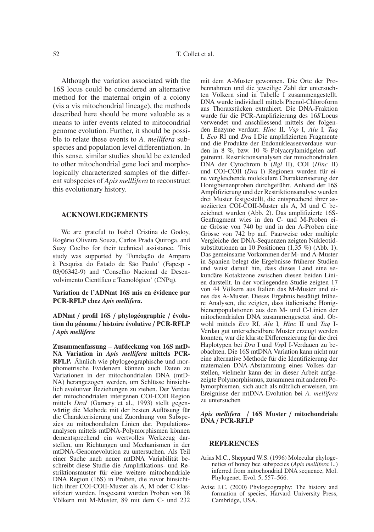Although the variation associated with the 16S locus could be considered an alternative method for the maternal origin of a colony (vis a vis mitochondrial lineage), the methods described here should be more valuable as a means to infer events related to mitocondrial genome evolution. Further, it should be possible to relate these events to *A. mellifera* subspecies and population level differentiation. In this sense, similar studies should be extended to other mitochondrial gene loci and morphologically characterized samples of the different subspecies of *Apis melllifera* to reconstruct this evolutionary history.

## **ACKNOWLEDGEMENTS**

We are grateful to Isabel Cristina de Godoy, Rogério Oliveira Souza, Carlos Prada Quiroga, and Suzy Coelho for their technical assistance. This study was supported by 'Fundação de Amparo à Pesquisa do Estado de São Paulo' (Fapesp - 03/06342-9) and 'Conselho Nacional de Desenvolvimento Científico e Tecnológico' (CNPq).

## **Variation de l'ADNmt 16S mis en évidence par PCR-RFLP chez** *Apis mellifera***.**

# **ADNmt** / **profil 16S** / **phylogéographie** / **évolution du génome** / **histoire évolutive** / **PCR-RFLP** / *Apis mellifera*

**Zusammenfassung** – **Aufdeckung von 16S mtD-NA Variation in** *Apis mellifera* **mittels PCR-RFLP.** Ähnlich wie phylogeographische und morphometrische Evidenzen können auch Daten zu Variationen in der mitochondrialen DNA (mtD-NA) herangezogen werden, um Schlüsse hinsichtlich evolutiver Beziehungen zu ziehen. Der Verdau der mitochondrialen intergenen COI-COII Region mittels *DraI* (Garnery et al., 1993) stellt gegenwärtig die Methode mit der besten Auflösung für die Charakterisierung und Zuordnung von Subspezies zu mitochondialen Linien dar. Populationsanalysen mittels mtDNA-Polymorphismen können dementsprechend ein wertvolles Werkzeug darstellen, um Richtungen und Mechanismen in der mtDNA-Genomevolution zu untersuchen. Als Teil einer Suche nach neuer mtDNA Variabilität beschreibt diese Studie die Amplifikations- und Restriktionsmuster für eine weitere mitochondriale DNA Region (16S) in Proben, die zuvor hinsichtlich ihrer COI-COII-Muster als A, M oder C klassifiziert wurden. Insgesamt wurden Proben von 38 Völkern mit M-Muster, 89 mit dem C- und 232 mit dem A-Muster gewonnen. Die Orte der Probennahmen und die jeweilige Zahl der untersuchten Völkern sind in Tabelle I zusammengestellt. DNA wurde individuell mittels Phenol-Chloroform aus Thoraxstücken extrahiert. Die DNA-Fraktion wurde für die PCR-Amplifizierung des 16*S* Locus verwendet und anschliessend mittels der folgenden Enzyme verdaut: *Hinc* II*, Vsp* I, *Alu* I*, Taq* I*, Eco* RI und *Dra* I.Die amplifizierten Fragmente und die Produkte der Endonukleasenverdaue wurden in 8 %, bzw. 10 % Polyacrylamidgelen aufgetrennt. Restriktionsanalysen der mitochondrialen DNA der Cytochrom b (*Bgl* II), COI (*Hinc* II) und COI-COII (*Dra* I) Regionen wurden für eine vergleichende molekulare Charakterisierung der Honigbienenproben durchgeführt. Anhand der 16S Amplifizierung und der Restriktionsanalyse wurden drei Muster festgestellt, die entsprechend ihrer assoziierten COI-COII-Muster als A, M und C bezeichnet wurden (Abb. 2). Das amplifizierte 16S-Genfragment wies in den C- und M-Proben eine Grösse von 740 bp und in den A-Proben eine Grösse von 742 bp auf. Paarweise oder multiple Vergleiche der DNA-Sequenzen zeigten Nukleotidsubstitutionen an 10 Positionen (1,35 %) (Abb. 1). Das gemeinsame Vorkommen der M- und A-Muster in Spanien belegt die Ergebnisse früherer Studien und weist darauf hin, dass dieses Land eine sekundäre Kotaktzone zwischen diesen beiden Linien darstellt. In der vorliegenden Studie zeigten 17 von 44 Völkern aus Italien das M-Muster und eines das A-Muster. Dieses Ergebnis bestätigt frühere Analysen, die zeigten, dass italienische Honigbienenpopulationen aus den M- und C-Linien der mitochondrialen DNA zusammengesetzt sind. Obwohl mittels *Eco* RI*, Alu* I*, Hinc* II und *Taq* I-Verdau gut unterscheidbare Muster erzeugt werden konnten, war die klarste Differenzierung für die drei Haplotypen bei *Dra* I und *Vsp*I I-Verdauen zu beobachten. Die 16S mtDNA Variation kann nicht nur eine alternative Methode für die Identifizierung der maternalen DNA-Abstammung eines Volkes darstellen, vielmehr kann der in dieser Arbeit aufgezeigte Polymorphismus, zusammen mit anderen Polymorphismen, sich auch als nützlich erweisen, um Ereignisse der mtDNA-Evolution bei *A. mellifera* zu untersuchen

#### *Apis mellifera* / **16S Muster** / **mitochondriale DNA** / **PCR-RFLP**

#### **REFERENCES**

- Arias M.C., Sheppard W.S. (1996) Molecular phylogenetics of honey bee subspecies (*Apis mellifera* L.) inferred from mitochondrial DNA sequence, Mol. Phylogenet. Evol. 5, 557–566.
- Avise J.C. (2000) Phylogeography: The history and formation of species, Harvard University Press, Cambridge, USA.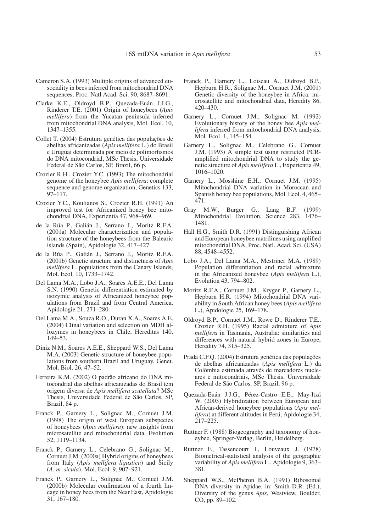- Cameron S.A. (1993) Multiple origins of advanced eusociality in bees inferred from mitochondrial DNA sequences, Proc. Natl Acad. Sci. 90, 8687–8691.
- Clarke K.E., Oldroyd B.P., Quezada-Euán J.J.G., Rinderer T.E. (2001) Origin of honeybees (*Apis mellifera*) from the Yucatan peninsula inferred from mitochondrial DNA analysis, Mol. Ecol. 10, 1347–1355.
- Collet T. (2004) Estrutura genética das populações de abelhas africanizadas (*Apis mellifera* L.) do Brasil e Uruguai determinada por meio de polimorfismos do DNA mitocondrial, MSc Thesis, Universidade Federal de São Carlos, SP, Brazil, 66 p.
- Crozier R.H., Crozier Y.C. (1993) The mitochondrial genome of the honeybee *Apis mellifera*: complete sequence and genome organization, Genetics 133, 97–117.
- Crozier Y.C., Koulianos S., Crozier R.H. (1991) An improved test for Africanized honey bee mitochondrial DNA, Experientia 47, 968–969.
- de la Rúa P., Galián J., Serrano J., Moritz R.F.A. (2001a) Molecular characterization and population structure of the honeybees from the Balearic islands (Spain), Apidologie 32, 417–427.
- de la Rúa P., Galián J., Serrano J., Moritz R.F.A. (2001b) Genetic structure and distinctness of *Apis mellifera* L. populations from the Canary Islands, Mol. Ecol. 10, 1733–1742.
- Del Lama M.A., Lobo J.A., Soares A.E.E., Del Lama S.N. (1990) Genetic differentiation estimated by isozymic analysis of Africanized honeybee populations from Brazil and from Central America, Apidologie 21, 271–280.
- Del Lama M.A., Souza R.O., Duran X.A., Soares A.E. (2004) Clinal variation and selection on MDH allozymes in honeybees in Chile, Hereditas 140, 149–53.
- Diniz N.M., Soares A.E.E., Sheppard W.S., Del Lama M.A. (2003) Genetic structure of honeybee populations from southern Brazil and Uruguay, Genet. Mol. Biol. 26, 47–52.
- Ferreira K.M. (2002) O padrão africano do DNA mitocondrial das abelhas africanizadas do Brasil tem origem diversa de *Apis mellifera scutellata*? MSc Thesis, Universidade Federal de São Carlos, SP, Brazil, 84 p.
- Franck P., Garnery L., Solignac M., Cornuet J.M. (1998) The origin of west European subspecies of honeybees (*Apis mellifera*): new insights from microsatellite and mitochondrial data, Evolution 52, 1119–1134.
- Franck P., Garnery L., Celebrano G., Solignac M., Cornuet J.M. (2000a) Hybrid origins of honeybees from Italy (*Apis mellifera ligustica*) and Sicily (*A. m. sicula*), Mol. Ecol. 9, 907–921.
- Franck P., Garnery L., Solignac M., Cornuet J.M. (2000b) Molecular confirmation of a fourth lineage in honey bees from the Near East, Apidologie 31, 167–180.
- Franck P., Garnery L., Loiseau A., Oldroyd B.P., Hepburn H.R., Solignac M., Cornuet J.M. (2001) Genetic diversity of the honeybee in Africa: microsatellite and mitochondrial data, Heredity 86, 420–430.
- Garnery L., Cornuet J.M., Solignac M. (1992) Evolutionary history of the honey bee *Apis mellifera* inferred from mitochondrial DNA analysis, Mol. Ecol. 1, 145–154.
- Garnery L., Solignac M., Celebrano G., Cornuet J.M. (1993) A simple test using restricted PCRamplified mitochondrial DNA to study the genetic structure of *Apis mellifera* L., Experientia 49, 1016–1020.
- Garnery L., Mosshine E.H., Cornuet J.M. (1995) Mitochondrial DNA variation in Moroccan and Spanish honey bee populations, Mol. Ecol. 4, 465– 471.
- Gray M.W., Burger G., Lang B.F. (1999) Mitochondrial Evolution, Science 283, 1476– 1481.
- Hall H.G., Smith D.R. (1991) Distinguishing African and European honeybee matrilines using amplified mitochondrial DNA, Proc. Natl. Acad. Sci. (USA) 88, 4548–4552.
- Lobo J.A., Del Lama M.A., Mestriner M.A. (1989) Population differentiation and racial admixture in the Africanized honeybee (*Apis mellifera* L.), Evolution 43, 794–802.
- Moritz R.F.A., Cornuet J.M., Kryger P., Garnery L., Hepburn H.R. (1994) Mitochondrial DNA variability in South African honey bees (*Apis mellifera* L.), Apidologie 25, 169–178.
- Oldroyd B.P., Cornuet J.M., Rowe D., Rinderer T.E., Crozier R.H. (1995) Racial admixture of *Apis mellifera* in Tasmania, Australia: similarities and differences with natural hybrid zones in Europe, Heredity 74, 315–325.
- Prada C.F.Q. (2004) Estrutura genética das populações de abelhas africanizadas (*Apis mellifera* L.) da Colômbia estimada através de marcadores nucleares e mitocondriais, MSc Thesis, Universidade Federal de São Carlos, SP, Brazil, 96 p.
- Quezada-Euán J.J.G., Pérez-Castro E.E., May-Itzá W. (2003) Hybridization between European and African-derived honeybee populations (*Apis mellifera*) at different altitudes in Perú, Apidologie 34, 217–225.
- Ruttner F. (1988) Biogeography and taxonomy of honeybee, Springer-Verlag, Berlin, Heidelberg.
- Ruttner F., Tassencourt I., Louveaux J. (1978) Biometrical-statistical analysis of the geographic variability of *Apis mellifera* L., Apidologie 9, 363– 381.
- Sheppard W.S., McPheron B.A. (1991) Ribosomal DNA diversity in Apidae, in: Smith D.R. (Ed.), Diversity of the genus *Apis*, Westview, Boulder, CO, pp. 89–102.